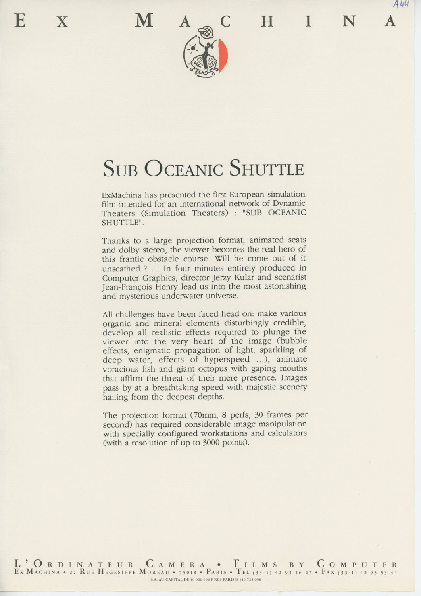*A W*



# SUB OCEANIC SHUTTLE

ExMachina has presented the first European simulation film intended for an international network of Dynamic Theaters (Simulation Theaters) : "SUB OCEANIC SHUTTLE".

Thanks to a large projection format, animated seats and dolby stereo, the viewer becomes the real hero of this frantic obstacle course. Will he come out of it unscathed ? ... In four minutes entirely produced in Computer Graphics, director Jerzy Kular and scenarist Jean-Frangois Henry lead us into the most astonishing and mysterious underwater universe.

All challenges have been faced head on: make various organic and mineral elements disturbingly credible, develop all realistic effects required to plunge the viewer into the very heart of the image (bubble effects, enigmatic propagation of light, sparkling of deep water, effects of hyperspeed ...), animate voracious fish and giant octopus with gaping mouths that affirm the threat of their mere presence. Images pass by at a breathtaking speed with majestic scenery hailing from the deepest depths.

The projection format (70mm, 8 perfs, 30 frames per second) has required considerable image manipulation with specially configured workstations and calculators (with a resolution of up to 3000 points).

L ' O R D EX MACHINA • INATEUR CAMERA • FILMS BY COMPUTE 22 KUE HEGESIPPE MOREAU • 75018 • PARIS • IEL (33-1) 42 93 26 27 • PAX (33-1) 42 93 53 44 S.A. AU CAPITAL DE 10 000 000 F RCS PARIS B 340 723 030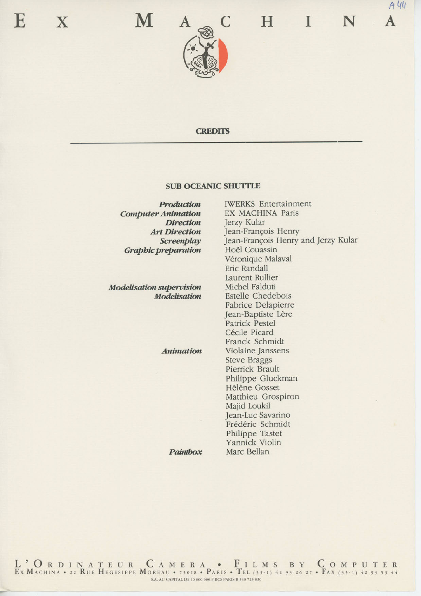



### **CREDITS**

#### **SUB OCEANIC SHUTTLE**

*Production Computer Animation Direction Art Direction Screenplay Graphic preparation*

*Modélisation supervision Modélisation*

*Animation*

*Paintbox*

IWERKS Entertainment EX MACHINA Paris Jerzy Kular Jean-François Henry Jean-François Henry and Jerzy Kular Hoël Couassin Véronique Malaval Eric Randall Laurent Rullier Michel Falduti Estelle Chedebois Fabrice Delapierre Jean-Baptiste Lère Patrick Pestel Cécile Picard Franck Schmidt Violaine Janssens Steve Braggs Pierrick Brault Philippe Gluckman Hélène Gosset Matthieu Grospiron Majid Loukil Jean-Luc Savarino Frédéric Schmidt Philippe Tastet Yannick Violin Marc Bellan

L ' O R D EX MACHINA • INATEUR CAMERA • FILMS BY COMPUTE 22 RUE HEGESIPPE MOREAU • 75018 • PARIS • TEL (33-1) 42 93 26 27 • FAX (33-1) 42 93 53 44 S.A. AU CAPITAL DE 10 000 000 F RCS PARIS B 340 723 030